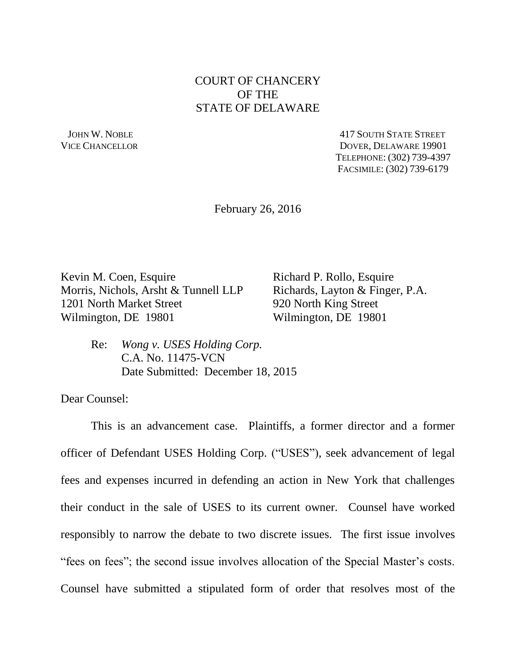## COURT OF CHANCERY OF THE STATE OF DELAWARE

 JOHN W. NOBLE 417 SOUTH STATE STREET VICE CHANCELLOR DOVER, DELAWARE 19901 TELEPHONE: (302) 739-4397 FACSIMILE: (302) 739-6179

February 26, 2016

Kevin M. Coen, Esquire Richard P. Rollo, Esquire Morris, Nichols, Arsht & Tunnell LLP Richards, Layton & Finger, P.A. 1201 North Market Street 920 North King Street Wilmington, DE 19801 Wilmington, DE 19801

Re: *Wong v. USES Holding Corp.*  C.A. No. 11475-VCN Date Submitted: December 18, 2015

Dear Counsel:

This is an advancement case. Plaintiffs, a former director and a former officer of Defendant USES Holding Corp. ("USES"), seek advancement of legal fees and expenses incurred in defending an action in New York that challenges their conduct in the sale of USES to its current owner. Counsel have worked responsibly to narrow the debate to two discrete issues. The first issue involves "fees on fees"; the second issue involves allocation of the Special Master's costs. Counsel have submitted a stipulated form of order that resolves most of the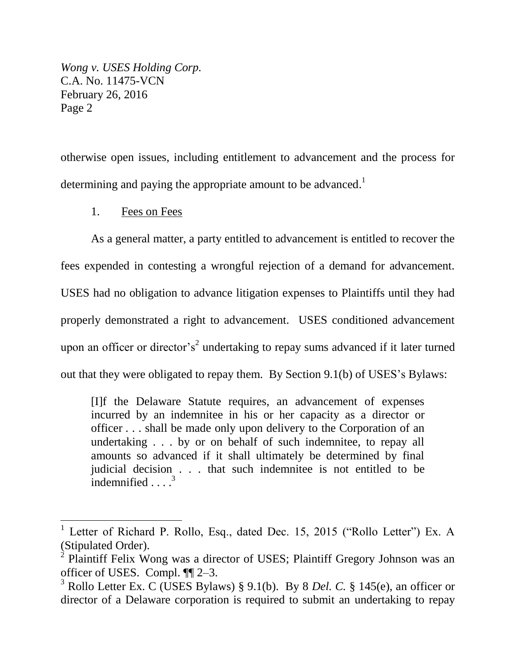otherwise open issues, including entitlement to advancement and the process for determining and paying the appropriate amount to be advanced.<sup>1</sup>

1. Fees on Fees

 $\overline{a}$ 

As a general matter, a party entitled to advancement is entitled to recover the fees expended in contesting a wrongful rejection of a demand for advancement. USES had no obligation to advance litigation expenses to Plaintiffs until they had properly demonstrated a right to advancement. USES conditioned advancement upon an officer or director's<sup>2</sup> undertaking to repay sums advanced if it later turned out that they were obligated to repay them. By Section 9.1(b) of USES's Bylaws:

[I]f the Delaware Statute requires, an advancement of expenses incurred by an indemnitee in his or her capacity as a director or officer . . . shall be made only upon delivery to the Corporation of an undertaking . . . by or on behalf of such indemnitee, to repay all amounts so advanced if it shall ultimately be determined by final judicial decision . . . that such indemnitee is not entitled to be indemnified  $\ldots$ <sup>3</sup>

<sup>&</sup>lt;sup>1</sup> Letter of Richard P. Rollo, Esq., dated Dec. 15, 2015 ("Rollo Letter") Ex. A (Stipulated Order).

<sup>&</sup>lt;sup>2</sup> Plaintiff Felix Wong was a director of USES; Plaintiff Gregory Johnson was an officer of USES. Compl. ¶¶ 2–3.

<sup>3</sup> Rollo Letter Ex. C (USES Bylaws) § 9.1(b). By 8 *Del. C.* § 145(e), an officer or director of a Delaware corporation is required to submit an undertaking to repay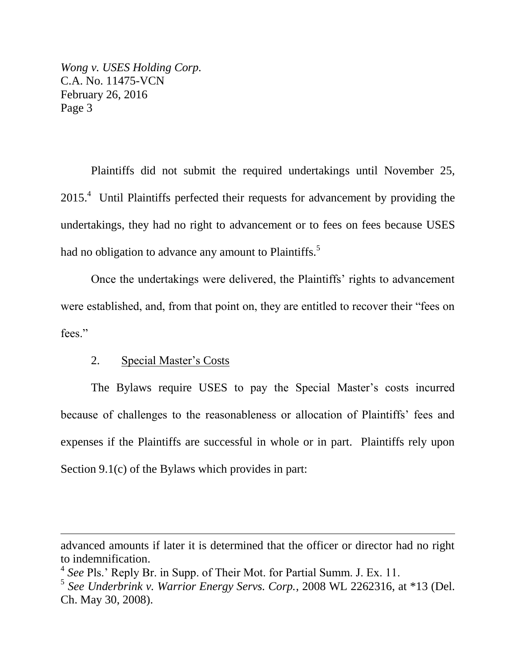Plaintiffs did not submit the required undertakings until November 25,  $2015<sup>4</sup>$  Until Plaintiffs perfected their requests for advancement by providing the undertakings, they had no right to advancement or to fees on fees because USES had no obligation to advance any amount to Plaintiffs.<sup>5</sup>

Once the undertakings were delivered, the Plaintiffs' rights to advancement were established, and, from that point on, they are entitled to recover their "fees on fees."

## 2. Special Master's Costs

 $\overline{a}$ 

The Bylaws require USES to pay the Special Master's costs incurred because of challenges to the reasonableness or allocation of Plaintiffs' fees and expenses if the Plaintiffs are successful in whole or in part. Plaintiffs rely upon Section 9.1(c) of the Bylaws which provides in part:

advanced amounts if later it is determined that the officer or director had no right to indemnification.

<sup>4</sup> *See* Pls.' Reply Br. in Supp. of Their Mot. for Partial Summ. J. Ex. 11.

<sup>5</sup> *See Underbrink v. Warrior Energy Servs. Corp.*, 2008 WL 2262316, at \*13 (Del. Ch. May 30, 2008).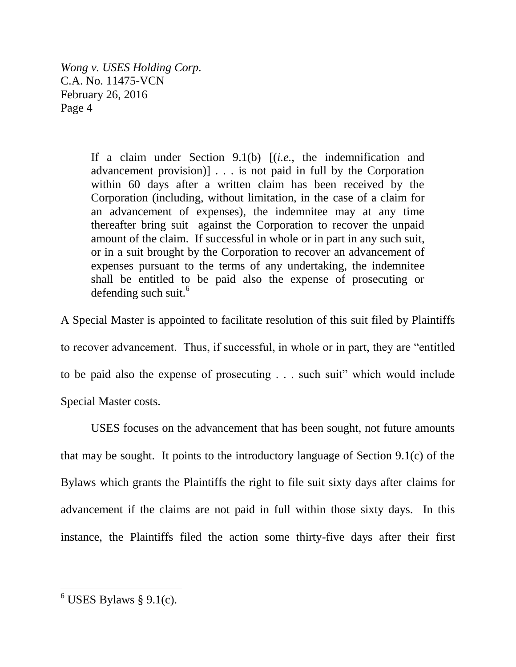> If a claim under Section 9.1(b) [(*i.e.*, the indemnification and advancement provision)] . . . is not paid in full by the Corporation within 60 days after a written claim has been received by the Corporation (including, without limitation, in the case of a claim for an advancement of expenses), the indemnitee may at any time thereafter bring suit against the Corporation to recover the unpaid amount of the claim. If successful in whole or in part in any such suit, or in a suit brought by the Corporation to recover an advancement of expenses pursuant to the terms of any undertaking, the indemnitee shall be entitled to be paid also the expense of prosecuting or defending such suit.<sup>6</sup>

A Special Master is appointed to facilitate resolution of this suit filed by Plaintiffs to recover advancement. Thus, if successful, in whole or in part, they are "entitled to be paid also the expense of prosecuting . . . such suit" which would include Special Master costs.

USES focuses on the advancement that has been sought, not future amounts that may be sought. It points to the introductory language of Section 9.1(c) of the Bylaws which grants the Plaintiffs the right to file suit sixty days after claims for advancement if the claims are not paid in full within those sixty days. In this instance, the Plaintiffs filed the action some thirty-five days after their first

 $\overline{a}$ 

 $6$  USES Bylaws § 9.1(c).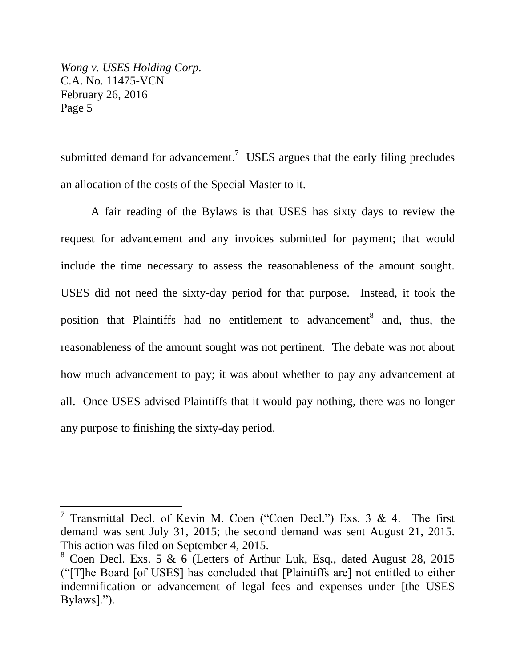$\overline{a}$ 

submitted demand for advancement.<sup>7</sup> USES argues that the early filing precludes an allocation of the costs of the Special Master to it.

A fair reading of the Bylaws is that USES has sixty days to review the request for advancement and any invoices submitted for payment; that would include the time necessary to assess the reasonableness of the amount sought. USES did not need the sixty-day period for that purpose. Instead, it took the position that Plaintiffs had no entitlement to advancement<sup>8</sup> and, thus, the reasonableness of the amount sought was not pertinent. The debate was not about how much advancement to pay; it was about whether to pay any advancement at all. Once USES advised Plaintiffs that it would pay nothing, there was no longer any purpose to finishing the sixty-day period.

<sup>&</sup>lt;sup>7</sup> Transmittal Decl. of Kevin M. Coen ("Coen Decl.") Exs. 3 & 4. The first demand was sent July 31, 2015; the second demand was sent August 21, 2015. This action was filed on September 4, 2015.

<sup>8</sup> Coen Decl. Exs. 5 & 6 (Letters of Arthur Luk, Esq., dated August 28, 2015 ("[T]he Board [of USES] has concluded that [Plaintiffs are] not entitled to either indemnification or advancement of legal fees and expenses under [the USES Bylaws].").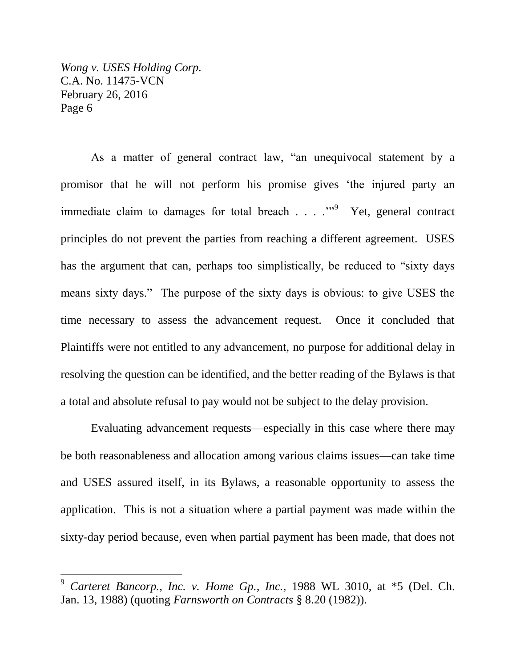$\overline{a}$ 

As a matter of general contract law, "an unequivocal statement by a promisor that he will not perform his promise gives 'the injured party an immediate claim to damages for total breach  $\ldots$   $\ldots$ <sup>9</sup> Yet, general contract principles do not prevent the parties from reaching a different agreement. USES has the argument that can, perhaps too simplistically, be reduced to "sixty days means sixty days." The purpose of the sixty days is obvious: to give USES the time necessary to assess the advancement request. Once it concluded that Plaintiffs were not entitled to any advancement, no purpose for additional delay in resolving the question can be identified, and the better reading of the Bylaws is that a total and absolute refusal to pay would not be subject to the delay provision.

Evaluating advancement requests—especially in this case where there may be both reasonableness and allocation among various claims issues—can take time and USES assured itself, in its Bylaws, a reasonable opportunity to assess the application. This is not a situation where a partial payment was made within the sixty-day period because, even when partial payment has been made, that does not

<sup>9</sup> *Carteret Bancorp., Inc. v. Home Gp., Inc.*, 1988 WL 3010, at \*5 (Del. Ch. Jan. 13, 1988) (quoting *Farnsworth on Contracts* § 8.20 (1982)).